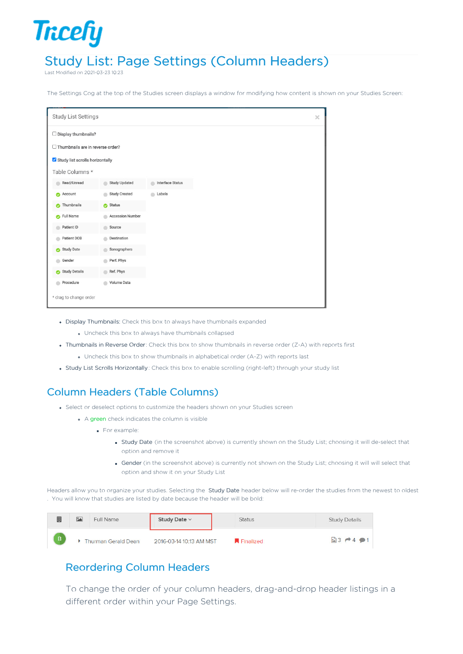# Study List: Page Settings (Column Headers)

Last Modified on 2021-03-23 10:23

**Tricefy** 

The Settings Cog at the top of the Studies screen displays a window for modifying how content is shown on your Studies Screen:

| <b>Study List Settings</b>        |                            |                              |  |  |
|-----------------------------------|----------------------------|------------------------------|--|--|
| Display thumbnails?<br>u          |                            |                              |  |  |
| Thumbnails are in reverse order?  |                            |                              |  |  |
| Study list scrolls horizontally   |                            |                              |  |  |
| Table Columns *                   |                            |                              |  |  |
| Read/Unread                       | <b>Study Updated</b><br>a. | <b>Interface Status</b><br>m |  |  |
| Account<br>◓                      | <b>Study Created</b><br>ä  | Labels<br>a.                 |  |  |
| Thumbnails                        | <b>Status</b><br>ø         |                              |  |  |
| <b>Full Name</b><br>⋒             | <b>Accession Number</b>    |                              |  |  |
| Patient ID                        | Source<br>a                |                              |  |  |
| Patient DOB                       | Destination                |                              |  |  |
| Study Date<br>๏                   | Sonographers<br>é          |                              |  |  |
| Gender                            | Perf. Phys<br>۵            |                              |  |  |
| <b>Study Details</b><br>$\bullet$ | Ref. Phys<br>a.            |                              |  |  |
| Procedure                         | Volume Data<br>ä           |                              |  |  |
| * drag to change order            |                            |                              |  |  |

- Display Thumbnails: Check this box to always have thumbnails expanded
	- Uncheck this box to always have thumbnails collapsed
- Thumbnails in Reverse Order: Check this box to show thumbnails in reverse order (Z-A) with reports first
	- Uncheck this box to show thumbnails in alphabetical order (A-Z) with reports last
- Study List Scrolls Horizontally : Check this box to enable scrolling (right-left) through your study list

## Column Headers (Table Columns)

- Select or deselect options to customize the headers shown on your Studies screen
	- A green check indicates the column is visible
		- For example:
			- Study Date (in the screenshot above) is currently shown on the Study List; choosing it will de-select that option and remove it
			- **Gender** (in the screenshot above) is currently not shown on the Study List; choosing it will will select that option and show it on your Study List

Headers allow you to organize your studies. Selecting the Study Date header below will re-order the studies from the newest to oldest . You will know that studies are listed by date because the header will be bold:

| 圓        | <b>PA</b> | Full Name                  | Study Date $\vee$       | <b>Status</b> | <b>Study Details</b>                |
|----------|-----------|----------------------------|-------------------------|---------------|-------------------------------------|
| <b>B</b> |           | <b>Thurman Gerald Dean</b> | 2016-03-14 10:13 AM MST | Finalized     | $\mathbf{23} \rightarrow 4 \cdot 1$ |

### Reordering Column Headers

To change the order of your column headers, drag-and-drop header listings in a different order within your Page Settings.